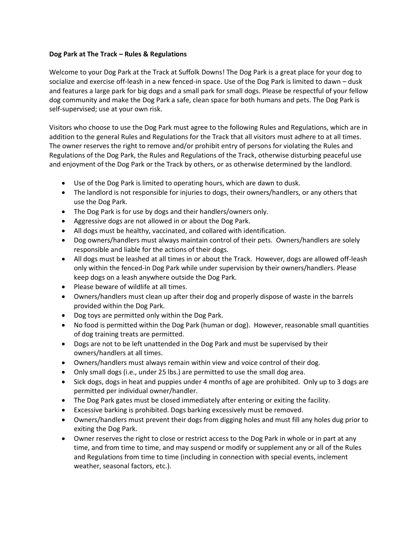## **Dog Park at The Track – Rules & Regulations**

Welcome to your Dog Park at the Track at Suffolk Downs! The Dog Park is a great place for your dog to socialize and exercise off-leash in a new fenced-in space. Use of the Dog Park is limited to dawn – dusk and features a large park for big dogs and a small park for small dogs. Please be respectful of your fellow dog community and make the Dog Park a safe, clean space for both humans and pets. The Dog Park is self-supervised; use at your own risk.

Visitors who choose to use the Dog Park must agree to the following Rules and Regulations, which are in addition to the general Rules and Regulations for the Track that all visitors must adhere to at all times. The owner reserves the right to remove and/or prohibit entry of persons for violating the Rules and Regulations of the Dog Park, the Rules and Regulations of the Track, otherwise disturbing peaceful use and enjoyment of the Dog Park or the Track by others, or as otherwise determined by the landlord.

- Use of the Dog Park is limited to operating hours, which are dawn to dusk.
- The landlord is not responsible for injuries to dogs, their owners/handlers, or any others that use the Dog Park.
- The Dog Park is for use by dogs and their handlers/owners only.
- Aggressive dogs are not allowed in or about the Dog Park.
- All dogs must be healthy, vaccinated, and collared with identification.
- Dog owners/handlers must always maintain control of their pets. Owners/handlers are solely responsible and liable for the actions of their dogs.
- All dogs must be leashed at all times in or about the Track. However, dogs are allowed off-leash only within the fenced-in Dog Park while under supervision by their owners/handlers. Please keep dogs on a leash anywhere outside the Dog Park.
- Please beware of wildlife at all times.
- Owners/handlers must clean up after their dog and properly dispose of waste in the barrels provided within the Dog Park.
- Dog toys are permitted only within the Dog Park.
- No food is permitted within the Dog Park (human or dog). However, reasonable small quantities of dog training treats are permitted.
- Dogs are not to be left unattended in the Dog Park and must be supervised by their owners/handlers at all times.
- Owners/handlers must always remain within view and voice control of their dog.
- Only small dogs (i.e., under 25 lbs.) are permitted to use the small dog area.
- Sick dogs, dogs in heat and puppies under 4 months of age are prohibited. Only up to 3 dogs are permitted per individual owner/handler.
- The Dog Park gates must be closed immediately after entering or exiting the facility.
- Excessive barking is prohibited. Dogs barking excessively must be removed.
- Owners/handlers must prevent their dogs from digging holes and must fill any holes dug prior to exiting the Dog Park.
- Owner reserves the right to close or restrict access to the Dog Park in whole or in part at any time, and from time to time, and may suspend or modify or supplement any or all of the Rules and Regulations from time to time (including in connection with special events, inclement weather, seasonal factors, etc.).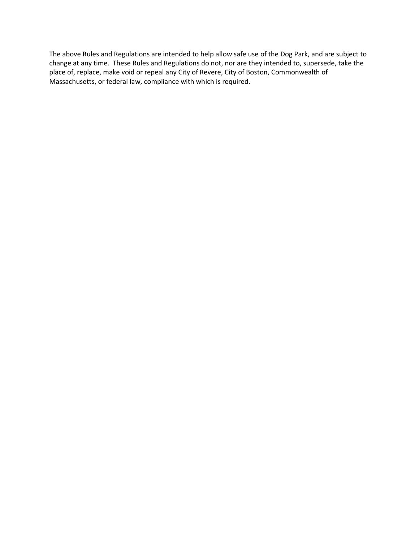The above Rules and Regulations are intended to help allow safe use of the Dog Park, and are subject to change at any time. These Rules and Regulations do not, nor are they intended to, supersede, take the place of, replace, make void or repeal any City of Revere, City of Boston, Commonwealth of Massachusetts, or federal law, compliance with which is required.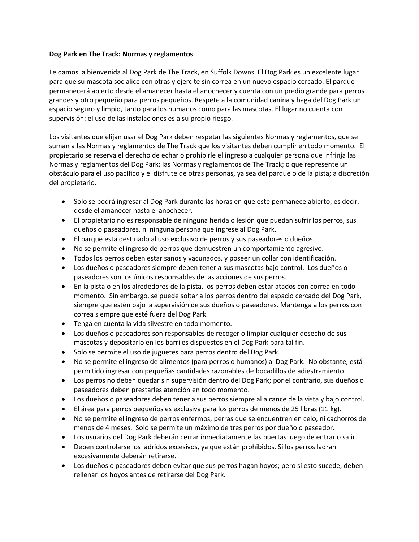## **Dog Park en The Track: Normas y reglamentos**

Le damos la bienvenida al Dog Park de The Track, en Suffolk Downs. El Dog Park es un excelente lugar para que su mascota socialice con otras y ejercite sin correa en un nuevo espacio cercado. El parque permanecerá abierto desde el amanecer hasta el anochecer y cuenta con un predio grande para perros grandes y otro pequeño para perros pequeños. Respete a la comunidad canina y haga del Dog Park un espacio seguro y limpio, tanto para los humanos como para las mascotas. El lugar no cuenta con supervisión: el uso de las instalaciones es a su propio riesgo.

Los visitantes que elijan usar el Dog Park deben respetar las siguientes Normas y reglamentos, que se suman a las Normas y reglamentos de The Track que los visitantes deben cumplir en todo momento. El propietario se reserva el derecho de echar o prohibirle el ingreso a cualquier persona que infrinja las Normas y reglamentos del Dog Park; las Normas y reglamentos de The Track; o que represente un obstáculo para el uso pacífico y el disfrute de otras personas, ya sea del parque o de la pista; a discreción del propietario.

- Solo se podrá ingresar al Dog Park durante las horas en que este permanece abierto; es decir, desde el amanecer hasta el anochecer.
- El propietario no es responsable de ninguna herida o lesión que puedan sufrir los perros, sus dueños o paseadores, ni ninguna persona que ingrese al Dog Park.
- El parque está destinado al uso exclusivo de perros y sus paseadores o dueños.
- No se permite el ingreso de perros que demuestren un comportamiento agresivo.
- Todos los perros deben estar sanos y vacunados, y poseer un collar con identificación.
- Los dueños o paseadores siempre deben tener a sus mascotas bajo control. Los dueños o paseadores son los únicos responsables de las acciones de sus perros.
- En la pista o en los alrededores de la pista, los perros deben estar atados con correa en todo momento. Sin embargo, se puede soltar a los perros dentro del espacio cercado del Dog Park, siempre que estén bajo la supervisión de sus dueños o paseadores. Mantenga a los perros con correa siempre que esté fuera del Dog Park.
- Tenga en cuenta la vida silvestre en todo momento.
- Los dueños o paseadores son responsables de recoger o limpiar cualquier desecho de sus mascotas y depositarlo en los barriles dispuestos en el Dog Park para tal fin.
- Solo se permite el uso de juguetes para perros dentro del Dog Park.
- No se permite el ingreso de alimentos (para perros o humanos) al Dog Park. No obstante, está permitido ingresar con pequeñas cantidades razonables de bocadillos de adiestramiento.
- Los perros no deben quedar sin supervisión dentro del Dog Park; por el contrario, sus dueños o paseadores deben prestarles atención en todo momento.
- Los dueños o paseadores deben tener a sus perros siempre al alcance de la vista y bajo control.
- El área para perros pequeños es exclusiva para los perros de menos de 25 libras (11 kg).
- No se permite el ingreso de perros enfermos, perras que se encuentren en celo, ni cachorros de menos de 4 meses. Solo se permite un máximo de tres perros por dueño o paseador.
- Los usuarios del Dog Park deberán cerrar inmediatamente las puertas luego de entrar o salir.
- Deben controlarse los ladridos excesivos, ya que están prohibidos. Si los perros ladran excesivamente deberán retirarse.
- Los dueños o paseadores deben evitar que sus perros hagan hoyos; pero si esto sucede, deben rellenar los hoyos antes de retirarse del Dog Park.